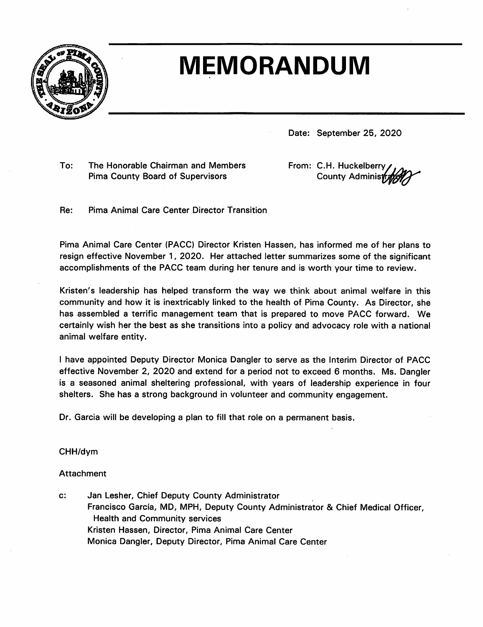

## **MEMORANDUM**

Date: September 25, 2020

To: The Honorable Chairman and Members **Pima County Board of Supervisors** 

From: C.H. Huckelberry County Administrat

Pima Animal Care Center Director Transition Re:

Pima Animal Care Center (PACC) Director Kristen Hassen, has informed me of her plans to resign effective November 1, 2020. Her attached letter summarizes some of the significant accomplishments of the PACC team during her tenure and is worth your time to review.

Kristen's leadership has helped transform the way we think about animal welfare in this community and how it is inextricably linked to the health of Pima County. As Director, she has assembled a terrific management team that is prepared to move PACC forward. We certainly wish her the best as she transitions into a policy and advocacy role with a national animal welfare entity.

I have appointed Deputy Director Monica Dangler to serve as the Interim Director of PACC effective November 2, 2020 and extend for a period not to exceed 6 months. Ms. Dangler is a seasoned animal sheltering professional, with years of leadership experience in four shelters. She has a strong background in volunteer and community engagement.

Dr. Garcia will be developing a plan to fill that role on a permanent basis.

CHH/dym

## **Attachment**

Jan Lesher, Chief Deputy County Administrator  $\mathbf{c}$ : Francisco García, MD, MPH, Deputy County Administrator & Chief Medical Officer, **Health and Community services** Kristen Hassen, Director, Pima Animal Care Center Monica Dangler, Deputy Director, Pima Animal Care Center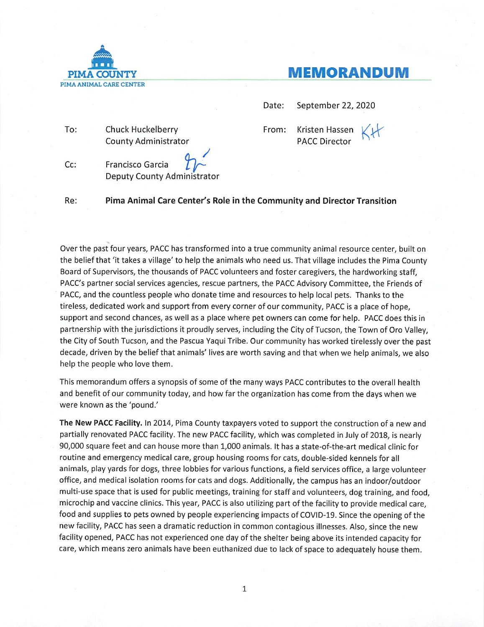

## **MEMORANDUM**

Date: September 22, 2020

To: **Chuck Huckelberry** County Administrator From: Kristen Hassen **PACC Director** 

Cc: Francisco Garcia Deputy County Administrator

Re: Pima Animal Care Center's Role in the Community and Director Transition

Over the past four years, PACC has transformed into a true community animal resource center, built on the belief that 'it takes a village' to help the animals who need us. That village includes the Pima County Board of Supervisors, the thousands of PACC volunteers and foster caregivers, the hardworking staff, PACC's partner social services agencies, rescue partners, the PACC Advisory Committee, the Friends of PACC, and the countless people who donate time and resources to help local pets. Thanks to the tireless, dedicated work and support from every corner of our community, PACC is a place of hope, support and second chances, as well as a place where pet owners can come for help. PACC does this in partnership with the jurisdictions it proudly serves, including the City of Tucson, the Town of Oro Valley, the City of South Tucson, and the Pascua Yaqui Tribe. Our community has worked tirelessly over the past decade, driven by the belief that animals' lives are worth saving and that when we help animals, we also help the people who love them.

This memorandum offers a synopsis of some of the many ways PACC contributes to the overall health and benefit of our community today, and how far the organization has come from the days when we were known as the 'pound.'

The New PACC Facility. In 2014, Pima County taxpayers voted to support the construction of a new and partially renovated PACC facility. The new PACC facility, which was completed in July of 2018, is nearly 90,000 square feet and can house more than 1,000 animals. It has a state-of-the-art medical clinic for routine and emergency medical care, group housing rooms for cats, double-sided kennels for all animals, play yards for dogs, three lobbies for various functions, a field services office, a large volunteer office, and medical isolation rooms for cats and dogs. Additionally, the campus has an indoor/outdoor multi-use space that is used for public meetings, training for staff and volunteers, dog training, and food, microchip and vaccine clinics. This year, PACC is also utilizing part of the facility to provide medical care. food and supplies to pets owned by people experiencing impacts of COVID-19. Since the opening of the new facility, PACC has seen a dramatic reduction in common contagious illnesses. Also, since the new facility opened, PACC has not experienced one day of the shelter being above its intended capacity for care, which means zero animals have been euthanized due to lack of space to adequately house them.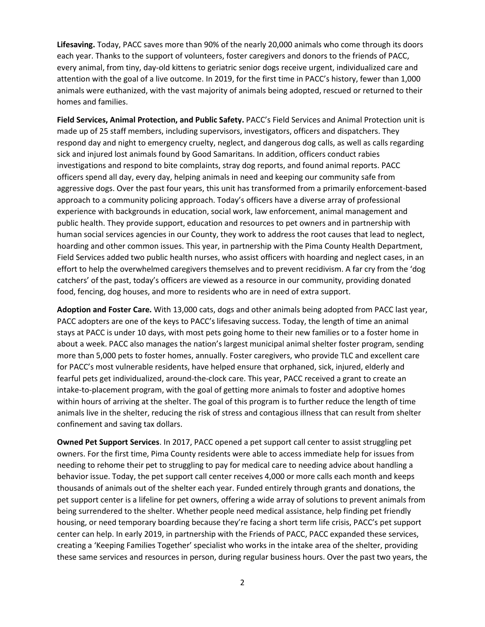**Lifesaving.** Today, PACC saves more than 90% of the nearly 20,000 animals who come through its doors each year. Thanks to the support of volunteers, foster caregivers and donors to the friends of PACC, every animal, from tiny, day-old kittens to geriatric senior dogs receive urgent, individualized care and attention with the goal of a live outcome. In 2019, for the first time in PACC's history, fewer than 1,000 animals were euthanized, with the vast majority of animals being adopted, rescued or returned to their homes and families.

**Field Services, Animal Protection, and Public Safety.** PACC's Field Services and Animal Protection unit is made up of 25 staff members, including supervisors, investigators, officers and dispatchers. They respond day and night to emergency cruelty, neglect, and dangerous dog calls, as well as calls regarding sick and injured lost animals found by Good Samaritans. In addition, officers conduct rabies investigations and respond to bite complaints, stray dog reports, and found animal reports. PACC officers spend all day, every day, helping animals in need and keeping our community safe from aggressive dogs. Over the past four years, this unit has transformed from a primarily enforcement-based approach to a community policing approach. Today's officers have a diverse array of professional experience with backgrounds in education, social work, law enforcement, animal management and public health. They provide support, education and resources to pet owners and in partnership with human social services agencies in our County, they work to address the root causes that lead to neglect, hoarding and other common issues. This year, in partnership with the Pima County Health Department, Field Services added two public health nurses, who assist officers with hoarding and neglect cases, in an effort to help the overwhelmed caregivers themselves and to prevent recidivism. A far cry from the 'dog catchers' of the past, today's officers are viewed as a resource in our community, providing donated food, fencing, dog houses, and more to residents who are in need of extra support.

**Adoption and Foster Care.** With 13,000 cats, dogs and other animals being adopted from PACC last year, PACC adopters are one of the keys to PACC's lifesaving success. Today, the length of time an animal stays at PACC is under 10 days, with most pets going home to their new families or to a foster home in about a week. PACC also manages the nation's largest municipal animal shelter foster program, sending more than 5,000 pets to foster homes, annually. Foster caregivers, who provide TLC and excellent care for PACC's most vulnerable residents, have helped ensure that orphaned, sick, injured, elderly and fearful pets get individualized, around-the-clock care. This year, PACC received a grant to create an intake-to-placement program, with the goal of getting more animals to foster and adoptive homes within hours of arriving at the shelter. The goal of this program is to further reduce the length of time animals live in the shelter, reducing the risk of stress and contagious illness that can result from shelter confinement and saving tax dollars.

**Owned Pet Support Services**. In 2017, PACC opened a pet support call center to assist struggling pet owners. For the first time, Pima County residents were able to access immediate help for issues from needing to rehome their pet to struggling to pay for medical care to needing advice about handling a behavior issue. Today, the pet support call center receives 4,000 or more calls each month and keeps thousands of animals out of the shelter each year. Funded entirely through grants and donations, the pet support center is a lifeline for pet owners, offering a wide array of solutions to prevent animals from being surrendered to the shelter. Whether people need medical assistance, help finding pet friendly housing, or need temporary boarding because they're facing a short term life crisis, PACC's pet support center can help. In early 2019, in partnership with the Friends of PACC, PACC expanded these services, creating a 'Keeping Families Together' specialist who works in the intake area of the shelter, providing these same services and resources in person, during regular business hours. Over the past two years, the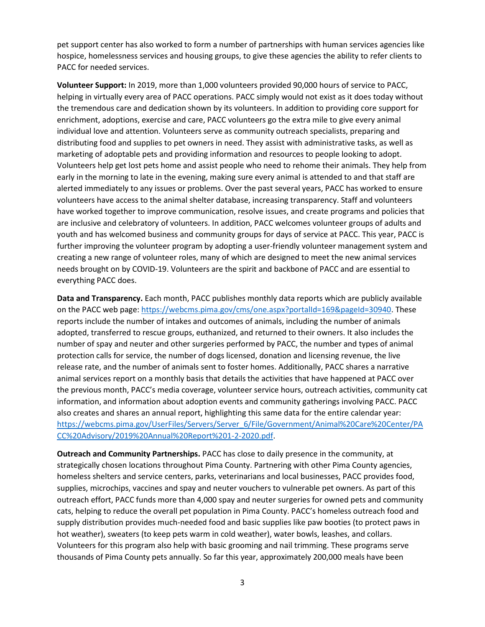pet support center has also worked to form a number of partnerships with human services agencies like hospice, homelessness services and housing groups, to give these agencies the ability to refer clients to PACC for needed services.

**Volunteer Support:** In 2019, more than 1,000 volunteers provided 90,000 hours of service to PACC, helping in virtually every area of PACC operations. PACC simply would not exist as it does today without the tremendous care and dedication shown by its volunteers. In addition to providing core support for enrichment, adoptions, exercise and care, PACC volunteers go the extra mile to give every animal individual love and attention. Volunteers serve as community outreach specialists, preparing and distributing food and supplies to pet owners in need. They assist with administrative tasks, as well as marketing of adoptable pets and providing information and resources to people looking to adopt. Volunteers help get lost pets home and assist people who need to rehome their animals. They help from early in the morning to late in the evening, making sure every animal is attended to and that staff are alerted immediately to any issues or problems. Over the past several years, PACC has worked to ensure volunteers have access to the animal shelter database, increasing transparency. Staff and volunteers have worked together to improve communication, resolve issues, and create programs and policies that are inclusive and celebratory of volunteers. In addition, PACC welcomes volunteer groups of adults and youth and has welcomed business and community groups for days of service at PACC. This year, PACC is further improving the volunteer program by adopting a user-friendly volunteer management system and creating a new range of volunteer roles, many of which are designed to meet the new animal services needs brought on by COVID-19. Volunteers are the spirit and backbone of PACC and are essential to everything PACC does.

**Data and Transparency.** Each month, PACC publishes monthly data reports which are publicly available on the PACC web page[: https://webcms.pima.gov/cms/one.aspx?portalId=169&pageId=30940.](https://webcms.pima.gov/cms/one.aspx?portalId=169&pageId=30940) These reports include the number of intakes and outcomes of animals, including the number of animals adopted, transferred to rescue groups, euthanized, and returned to their owners. It also includes the number of spay and neuter and other surgeries performed by PACC, the number and types of animal protection calls for service, the number of dogs licensed, donation and licensing revenue, the live release rate, and the number of animals sent to foster homes. Additionally, PACC shares a narrative animal services report on a monthly basis that details the activities that have happened at PACC over the previous month, PACC's media coverage, volunteer service hours, outreach activities, community cat information, and information about adoption events and community gatherings involving PACC. PACC also creates and shares an annual report, highlighting this same data for the entire calendar year: [https://webcms.pima.gov/UserFiles/Servers/Server\\_6/File/Government/Animal%20Care%20Center/PA](https://webcms.pima.gov/UserFiles/Servers/Server_6/File/Government/Animal%20Care%20Center/PACC%20Advisory/2019%20Annual%20Report%201-2-2020.pdf) [CC%20Advisory/2019%20Annual%20Report%201-2-2020.pdf.](https://webcms.pima.gov/UserFiles/Servers/Server_6/File/Government/Animal%20Care%20Center/PACC%20Advisory/2019%20Annual%20Report%201-2-2020.pdf)

**Outreach and Community Partnerships.** PACC has close to daily presence in the community, at strategically chosen locations throughout Pima County. Partnering with other Pima County agencies, homeless shelters and service centers, parks, veterinarians and local businesses, PACC provides food, supplies, microchips, vaccines and spay and neuter vouchers to vulnerable pet owners. As part of this outreach effort, PACC funds more than 4,000 spay and neuter surgeries for owned pets and community cats, helping to reduce the overall pet population in Pima County. PACC's homeless outreach food and supply distribution provides much-needed food and basic supplies like paw booties (to protect paws in hot weather), sweaters (to keep pets warm in cold weather), water bowls, leashes, and collars. Volunteers for this program also help with basic grooming and nail trimming. These programs serve thousands of Pima County pets annually. So far this year, approximately 200,000 meals have been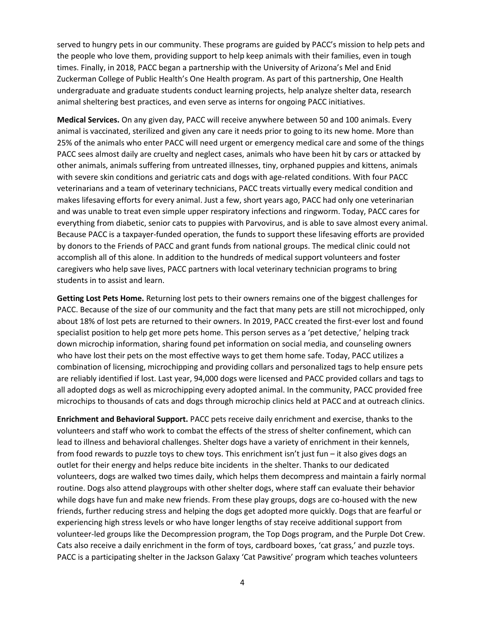served to hungry pets in our community. These programs are guided by PACC's mission to help pets and the people who love them, providing support to help keep animals with their families, even in tough times. Finally, in 2018, PACC began a partnership with the University of Arizona's Mel and Enid Zuckerman College of Public Health's One Health program. As part of this partnership, One Health undergraduate and graduate students conduct learning projects, help analyze shelter data, research animal sheltering best practices, and even serve as interns for ongoing PACC initiatives.

**Medical Services.** On any given day, PACC will receive anywhere between 50 and 100 animals. Every animal is vaccinated, sterilized and given any care it needs prior to going to its new home. More than 25% of the animals who enter PACC will need urgent or emergency medical care and some of the things PACC sees almost daily are cruelty and neglect cases, animals who have been hit by cars or attacked by other animals, animals suffering from untreated illnesses, tiny, orphaned puppies and kittens, animals with severe skin conditions and geriatric cats and dogs with age-related conditions. With four PACC veterinarians and a team of veterinary technicians, PACC treats virtually every medical condition and makes lifesaving efforts for every animal. Just a few, short years ago, PACC had only one veterinarian and was unable to treat even simple upper respiratory infections and ringworm. Today, PACC cares for everything from diabetic, senior cats to puppies with Parvovirus, and is able to save almost every animal. Because PACC is a taxpayer-funded operation, the funds to support these lifesaving efforts are provided by donors to the Friends of PACC and grant funds from national groups. The medical clinic could not accomplish all of this alone. In addition to the hundreds of medical support volunteers and foster caregivers who help save lives, PACC partners with local veterinary technician programs to bring students in to assist and learn.

**Getting Lost Pets Home.** Returning lost pets to their owners remains one of the biggest challenges for PACC. Because of the size of our community and the fact that many pets are still not microchipped, only about 18% of lost pets are returned to their owners. In 2019, PACC created the first-ever lost and found specialist position to help get more pets home. This person serves as a 'pet detective,' helping track down microchip information, sharing found pet information on social media, and counseling owners who have lost their pets on the most effective ways to get them home safe. Today, PACC utilizes a combination of licensing, microchipping and providing collars and personalized tags to help ensure pets are reliably identified if lost. Last year, 94,000 dogs were licensed and PACC provided collars and tags to all adopted dogs as well as microchipping every adopted animal. In the community, PACC provided free microchips to thousands of cats and dogs through microchip clinics held at PACC and at outreach clinics.

**Enrichment and Behavioral Support.** PACC pets receive daily enrichment and exercise, thanks to the volunteers and staff who work to combat the effects of the stress of shelter confinement, which can lead to illness and behavioral challenges. Shelter dogs have a variety of enrichment in their kennels, from food rewards to puzzle toys to chew toys. This enrichment isn't just fun – it also gives dogs an outlet for their energy and helps reduce bite incidents in the shelter. Thanks to our dedicated volunteers, dogs are walked two times daily, which helps them decompress and maintain a fairly normal routine. Dogs also attend playgroups with other shelter dogs, where staff can evaluate their behavior while dogs have fun and make new friends. From these play groups, dogs are co-housed with the new friends, further reducing stress and helping the dogs get adopted more quickly. Dogs that are fearful or experiencing high stress levels or who have longer lengths of stay receive additional support from volunteer-led groups like the Decompression program, the Top Dogs program, and the Purple Dot Crew. Cats also receive a daily enrichment in the form of toys, cardboard boxes, 'cat grass,' and puzzle toys. PACC is a participating shelter in the Jackson Galaxy 'Cat Pawsitive' program which teaches volunteers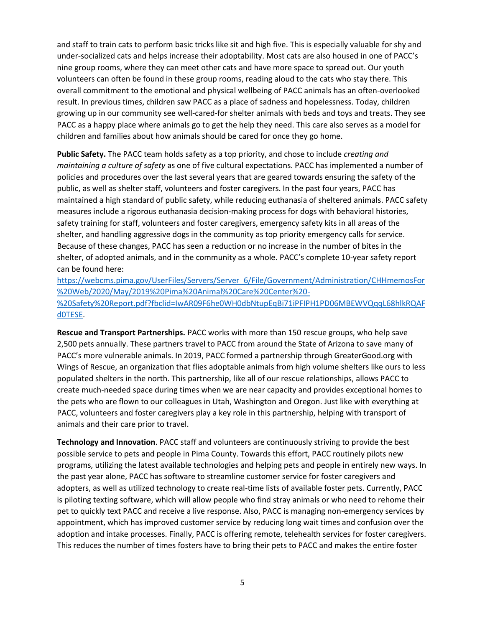and staff to train cats to perform basic tricks like sit and high five. This is especially valuable for shy and under-socialized cats and helps increase their adoptability. Most cats are also housed in one of PACC's nine group rooms, where they can meet other cats and have more space to spread out. Our youth volunteers can often be found in these group rooms, reading aloud to the cats who stay there. This overall commitment to the emotional and physical wellbeing of PACC animals has an often-overlooked result. In previous times, children saw PACC as a place of sadness and hopelessness. Today, children growing up in our community see well-cared-for shelter animals with beds and toys and treats. They see PACC as a happy place where animals go to get the help they need. This care also serves as a model for children and families about how animals should be cared for once they go home.

**Public Safety.** The PACC team holds safety as a top priority, and chose to include *creating and maintaining a culture of safety* as one of five cultural expectations. PACC has implemented a number of policies and procedures over the last several years that are geared towards ensuring the safety of the public, as well as shelter staff, volunteers and foster caregivers. In the past four years, PACC has maintained a high standard of public safety, while reducing euthanasia of sheltered animals. PACC safety measures include a rigorous euthanasia decision-making process for dogs with behavioral histories, safety training for staff, volunteers and foster caregivers, emergency safety kits in all areas of the shelter, and handling aggressive dogs in the community as top priority emergency calls for service. Because of these changes, PACC has seen a reduction or no increase in the number of bites in the shelter, of adopted animals, and in the community as a whole. PACC's complete 10-year safety report can be found here:

[https://webcms.pima.gov/UserFiles/Servers/Server\\_6/File/Government/Administration/CHHmemosFor](https://webcms.pima.gov/UserFiles/Servers/Server_6/File/Government/Administration/CHHmemosFor%20Web/2020/May/2019%20Pima%20Animal%20Care%20Center%20-%20Safety%20Report.pdf?fbclid=IwAR09F6he0WH0dbNtupEqBi71iPFIPH1PD06MBEWVQqqL68hlkRQAFd0TESE) [%20Web/2020/May/2019%20Pima%20Animal%20Care%20Center%20-](https://webcms.pima.gov/UserFiles/Servers/Server_6/File/Government/Administration/CHHmemosFor%20Web/2020/May/2019%20Pima%20Animal%20Care%20Center%20-%20Safety%20Report.pdf?fbclid=IwAR09F6he0WH0dbNtupEqBi71iPFIPH1PD06MBEWVQqqL68hlkRQAFd0TESE) [%20Safety%20Report.pdf?fbclid=IwAR09F6he0WH0dbNtupEqBi71iPFIPH1PD06MBEWVQqqL68hlkRQAF](https://webcms.pima.gov/UserFiles/Servers/Server_6/File/Government/Administration/CHHmemosFor%20Web/2020/May/2019%20Pima%20Animal%20Care%20Center%20-%20Safety%20Report.pdf?fbclid=IwAR09F6he0WH0dbNtupEqBi71iPFIPH1PD06MBEWVQqqL68hlkRQAFd0TESE) [d0TESE.](https://webcms.pima.gov/UserFiles/Servers/Server_6/File/Government/Administration/CHHmemosFor%20Web/2020/May/2019%20Pima%20Animal%20Care%20Center%20-%20Safety%20Report.pdf?fbclid=IwAR09F6he0WH0dbNtupEqBi71iPFIPH1PD06MBEWVQqqL68hlkRQAFd0TESE)

**Rescue and Transport Partnerships.** PACC works with more than 150 rescue groups, who help save 2,500 pets annually. These partners travel to PACC from around the State of Arizona to save many of PACC's more vulnerable animals. In 2019, PACC formed a partnership through GreaterGood.org with Wings of Rescue, an organization that flies adoptable animals from high volume shelters like ours to less populated shelters in the north. This partnership, like all of our rescue relationships, allows PACC to create much-needed space during times when we are near capacity and provides exceptional homes to the pets who are flown to our colleagues in Utah, Washington and Oregon. Just like with everything at PACC, volunteers and foster caregivers play a key role in this partnership, helping with transport of animals and their care prior to travel.

**Technology and Innovation**. PACC staff and volunteers are continuously striving to provide the best possible service to pets and people in Pima County. Towards this effort, PACC routinely pilots new programs, utilizing the latest available technologies and helping pets and people in entirely new ways. In the past year alone, PACC has software to streamline customer service for foster caregivers and adopters, as well as utilized technology to create real-time lists of available foster pets. Currently, PACC is piloting texting software, which will allow people who find stray animals or who need to rehome their pet to quickly text PACC and receive a live response. Also, PACC is managing non-emergency services by appointment, which has improved customer service by reducing long wait times and confusion over the adoption and intake processes. Finally, PACC is offering remote, telehealth services for foster caregivers. This reduces the number of times fosters have to bring their pets to PACC and makes the entire foster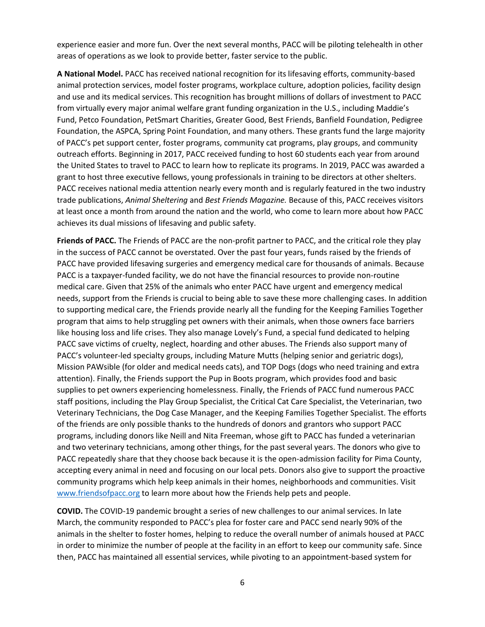experience easier and more fun. Over the next several months, PACC will be piloting telehealth in other areas of operations as we look to provide better, faster service to the public.

**A National Model.** PACC has received national recognition for its lifesaving efforts, community-based animal protection services, model foster programs, workplace culture, adoption policies, facility design and use and its medical services. This recognition has brought millions of dollars of investment to PACC from virtually every major animal welfare grant funding organization in the U.S., including Maddie's Fund, Petco Foundation, PetSmart Charities, Greater Good, Best Friends, Banfield Foundation, Pedigree Foundation, the ASPCA, Spring Point Foundation, and many others. These grants fund the large majority of PACC's pet support center, foster programs, community cat programs, play groups, and community outreach efforts. Beginning in 2017, PACC received funding to host 60 students each year from around the United States to travel to PACC to learn how to replicate its programs. In 2019, PACC was awarded a grant to host three executive fellows, young professionals in training to be directors at other shelters. PACC receives national media attention nearly every month and is regularly featured in the two industry trade publications, *Animal Sheltering* and *Best Friends Magazine.* Because of this, PACC receives visitors at least once a month from around the nation and the world, who come to learn more about how PACC achieves its dual missions of lifesaving and public safety.

**Friends of PACC.** The Friends of PACC are the non-profit partner to PACC, and the critical role they play in the success of PACC cannot be overstated. Over the past four years, funds raised by the friends of PACC have provided lifesaving surgeries and emergency medical care for thousands of animals. Because PACC is a taxpayer-funded facility, we do not have the financial resources to provide non-routine medical care. Given that 25% of the animals who enter PACC have urgent and emergency medical needs, support from the Friends is crucial to being able to save these more challenging cases. In addition to supporting medical care, the Friends provide nearly all the funding for the Keeping Families Together program that aims to help struggling pet owners with their animals, when those owners face barriers like housing loss and life crises. They also manage Lovely's Fund, a special fund dedicated to helping PACC save victims of cruelty, neglect, hoarding and other abuses. The Friends also support many of PACC's volunteer-led specialty groups, including Mature Mutts (helping senior and geriatric dogs), Mission PAWsible (for older and medical needs cats), and TOP Dogs (dogs who need training and extra attention). Finally, the Friends support the Pup in Boots program, which provides food and basic supplies to pet owners experiencing homelessness. Finally, the Friends of PACC fund numerous PACC staff positions, including the Play Group Specialist, the Critical Cat Care Specialist, the Veterinarian, two Veterinary Technicians, the Dog Case Manager, and the Keeping Families Together Specialist. The efforts of the friends are only possible thanks to the hundreds of donors and grantors who support PACC programs, including donors like Neill and Nita Freeman, whose gift to PACC has funded a veterinarian and two veterinary technicians, among other things, for the past several years. The donors who give to PACC repeatedly share that they choose back because it is the open-admission facility for Pima County, accepting every animal in need and focusing on our local pets. Donors also give to support the proactive community programs which help keep animals in their homes, neighborhoods and communities. Visit [www.friendsofpacc.org](http://www.friendsofpacc.org/) to learn more about how the Friends help pets and people.

**COVID.** The COVID-19 pandemic brought a series of new challenges to our animal services. In late March, the community responded to PACC's plea for foster care and PACC send nearly 90% of the animals in the shelter to foster homes, helping to reduce the overall number of animals housed at PACC in order to minimize the number of people at the facility in an effort to keep our community safe. Since then, PACC has maintained all essential services, while pivoting to an appointment-based system for